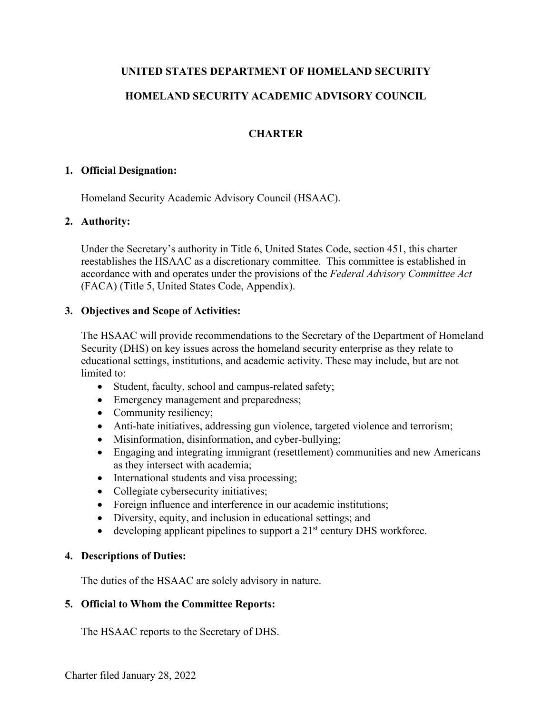# **UNITED STATES DEPARTMENT OF HOMELAND SECURITY**

# **HOMELAND SECURITY ACADEMIC ADVISORY COUNCIL**

# **CHARTER**

## **1. Official Designation:**

Homeland Security Academic Advisory Council (HSAAC).

# **2. Authority:**

Under the Secretary's authority in Title 6, United States Code, section 451, this charter reestablishes the HSAAC as a discretionary committee. This committee is established in accordance with and operates under the provisions of the *Federal Advisory Committee Act* (FACA) (Title 5, United States Code, Appendix).

## **3. Objectives and Scope of Activities:**

The HSAAC will provide recommendations to the Secretary of the Department of Homeland Security (DHS) on key issues across the homeland security enterprise as they relate to educational settings, institutions, and academic activity. These may include, but are not limited to:

- Student, faculty, school and campus-related safety;
- Emergency management and preparedness;
- Community resiliency;
- Anti-hate initiatives, addressing gun violence, targeted violence and terrorism;
- Misinformation, disinformation, and cyber-bullying;
- Engaging and integrating immigrant (resettlement) communities and new Americans as they intersect with academia;
- International students and visa processing;
- Collegiate cybersecurity initiatives;
- Foreign influence and interference in our academic institutions;
- Diversity, equity, and inclusion in educational settings; and
- developing applicant pipelines to support a  $21<sup>st</sup>$  century DHS workforce.

#### **4. Descriptions of Duties:**

The duties of the HSAAC are solely advisory in nature.

# **5. Official to Whom the Committee Reports:**

The HSAAC reports to the Secretary of DHS.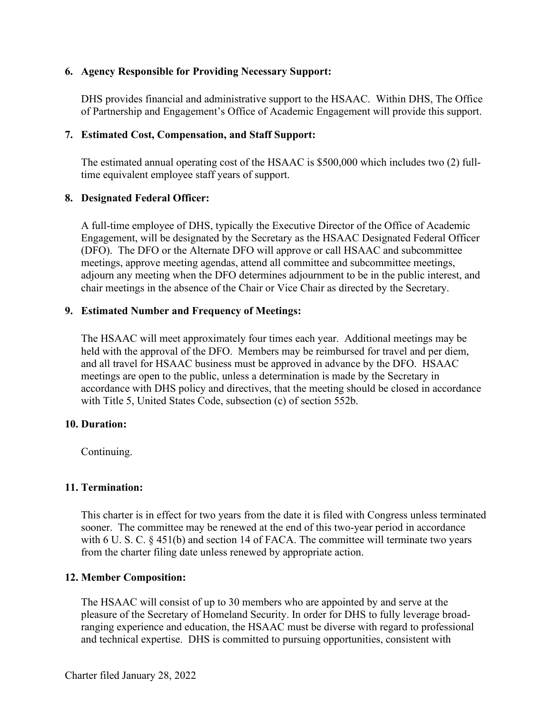## **6. Agency Responsible for Providing Necessary Support:**

DHS provides financial and administrative support to the HSAAC. Within DHS, The Office of Partnership and Engagement's Office of Academic Engagement will provide this support.

## **7. Estimated Cost, Compensation, and Staff Support:**

The estimated annual operating cost of the HSAAC is \$500,000 which includes two (2) fulltime equivalent employee staff years of support.

## **8. Designated Federal Officer:**

A full-time employee of DHS, typically the Executive Director of the Office of Academic Engagement, will be designated by the Secretary as the HSAAC Designated Federal Officer (DFO). The DFO or the Alternate DFO will approve or call HSAAC and subcommittee meetings, approve meeting agendas, attend all committee and subcommittee meetings, adjourn any meeting when the DFO determines adjournment to be in the public interest, and chair meetings in the absence of the Chair or Vice Chair as directed by the Secretary.

## **9. Estimated Number and Frequency of Meetings:**

The HSAAC will meet approximately four times each year. Additional meetings may be held with the approval of the DFO. Members may be reimbursed for travel and per diem, and all travel for HSAAC business must be approved in advance by the DFO. HSAAC meetings are open to the public, unless a determination is made by the Secretary in accordance with DHS policy and directives, that the meeting should be closed in accordance with Title 5, United States Code, subsection (c) of section 552b.

#### **10. Duration:**

Continuing.

# **11. Termination:**

This charter is in effect for two years from the date it is filed with Congress unless terminated sooner. The committee may be renewed at the end of this two-year period in accordance with 6 U.S.C. § 451(b) and section 14 of FACA. The committee will terminate two years from the charter filing date unless renewed by appropriate action.

# **12. Member Composition:**

The HSAAC will consist of up to 30 members who are appointed by and serve at the pleasure of the Secretary of Homeland Security. In order for DHS to fully leverage broadranging experience and education, the HSAAC must be diverse with regard to professional and technical expertise. DHS is committed to pursuing opportunities, consistent with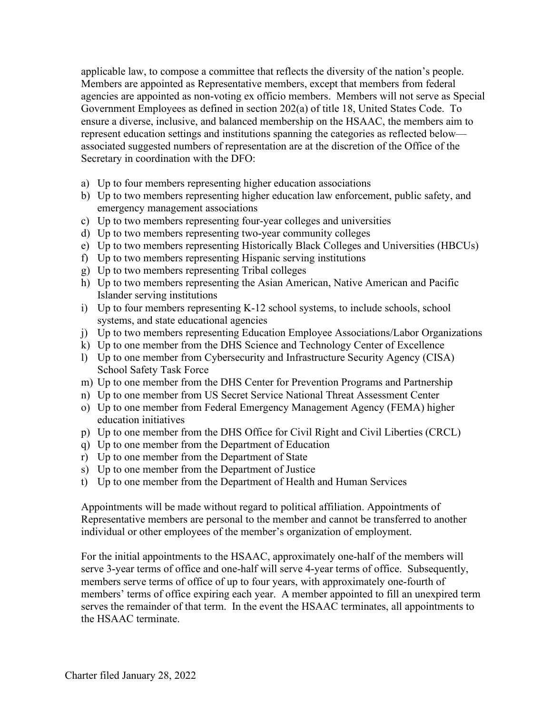applicable law, to compose a committee that reflects the diversity of the nation's people. Members are appointed as Representative members, except that members from federal agencies are appointed as non-voting ex officio members. Members will not serve as Special Government Employees as defined in section 202(a) of title 18, United States Code. To ensure a diverse, inclusive, and balanced membership on the HSAAC, the members aim to represent education settings and institutions spanning the categories as reflected below associated suggested numbers of representation are at the discretion of the Office of the Secretary in coordination with the DFO:

- a) Up to four members representing higher education associations
- b) Up to two members representing higher education law enforcement, public safety, and emergency management associations
- c) Up to two members representing four-year colleges and universities
- d) Up to two members representing two-year community colleges
- e) Up to two members representing Historically Black Colleges and Universities (HBCUs)
- f) Up to two members representing Hispanic serving institutions
- g) Up to two members representing Tribal colleges
- h) Up to two members representing the Asian American, Native American and Pacific Islander serving institutions
- i) Up to four members representing K-12 school systems, to include schools, school systems, and state educational agencies
- j) Up to two members representing Education Employee Associations/Labor Organizations
- k) Up to one member from the DHS Science and Technology Center of Excellence
- l) Up to one member from Cybersecurity and Infrastructure Security Agency (CISA) School Safety Task Force
- m) Up to one member from the DHS Center for Prevention Programs and Partnership
- n) Up to one member from US Secret Service National Threat Assessment Center
- o) Up to one member from Federal Emergency Management Agency (FEMA) higher education initiatives
- p) Up to one member from the DHS Office for Civil Right and Civil Liberties (CRCL)
- q) Up to one member from the Department of Education
- r) Up to one member from the Department of State
- s) Up to one member from the Department of Justice
- t) Up to one member from the Department of Health and Human Services

Appointments will be made without regard to political affiliation. Appointments of Representative members are personal to the member and cannot be transferred to another individual or other employees of the member's organization of employment.

For the initial appointments to the HSAAC, approximately one-half of the members will serve 3-year terms of office and one-half will serve 4-year terms of office. Subsequently, members serve terms of office of up to four years, with approximately one-fourth of members' terms of office expiring each year. A member appointed to fill an unexpired term serves the remainder of that term. In the event the HSAAC terminates, all appointments to the HSAAC terminate.